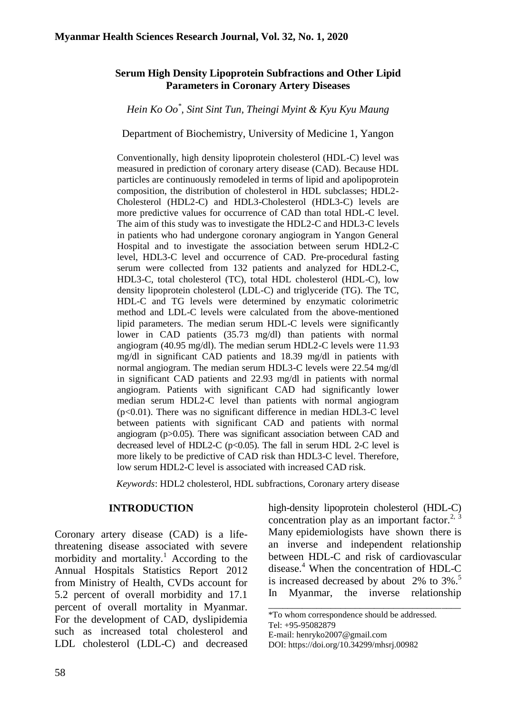### **Serum High Density Lipoprotein Subfractions and Other Lipid Parameters in Coronary Artery Diseases**

*Hein Ko Oo\* , Sint Sint Tun, Theingi Myint & Kyu Kyu Maung*

Department of Biochemistry, University of Medicine 1, Yangon

Conventionally, high density lipoprotein cholesterol (HDL-C) level was measured in prediction of coronary artery disease (CAD). Because HDL particles are continuously remodeled in terms of lipid and apolipoprotein composition, the distribution of cholesterol in HDL subclasses; HDL2- Cholesterol (HDL2-C) and HDL3-Cholesterol (HDL3-C) levels are more predictive values for occurrence of CAD than total HDL-C level. The aim of this study was to investigate the HDL2-C and HDL3-C levels in patients who had undergone coronary angiogram in Yangon General Hospital and to investigate the association between serum HDL2-C level, HDL3-C level and occurrence of CAD. Pre-procedural fasting serum were collected from 132 patients and analyzed for HDL2-C, HDL3-C, total cholesterol (TC), total HDL cholesterol (HDL-C), low density lipoprotein cholesterol (LDL-C) and triglyceride (TG). The TC, HDL-C and TG levels were determined by enzymatic colorimetric method and LDL-C levels were calculated from the above-mentioned lipid parameters. The median serum HDL-C levels were significantly lower in CAD patients (35.73 mg/dl) than patients with normal angiogram (40.95 mg/dl). The median serum HDL2-C levels were 11.93 mg/dl in significant CAD patients and 18.39 mg/dl in patients with normal angiogram. The median serum HDL3-C levels were 22.54 mg/dl in significant CAD patients and 22.93 mg/dl in patients with normal angiogram. Patients with significant CAD had significantly lower median serum HDL2-C level than patients with normal angiogram (p<0.01). There was no significant difference in median HDL3-C level between patients with significant CAD and patients with normal angiogram (p>0.05). There was significant association between CAD and decreased level of HDL2-C ( $p<0.05$ ). The fall in serum HDL 2-C level is more likely to be predictive of CAD risk than HDL3-C level. Therefore, low serum HDL2-C level is associated with increased CAD risk.

*Keywords*: HDL2 cholesterol, HDL subfractions, Coronary artery disease

#### **INTRODUCTION**

Coronary artery disease (CAD) is a lifethreatening disease associated with severe morbidity and mortality.<sup>1</sup> According to the Annual Hospitals Statistics Report 2012 from Ministry of Health, CVDs account for 5.2 percent of overall morbidity and 17.1 percent of overall mortality in Myanmar. For the development of CAD, dyslipidemia such as increased total cholesterol and LDL cholesterol (LDL-C) and decreased high-density lipoprotein cholesterol (HDL-C) concentration play as an important factor.<sup>2, 3</sup> Many epidemiologists have shown there is an inverse and independent relationship between HDL-C and risk of cardiovascular disease.<sup>4</sup> When the concentration of HDL-C is increased decreased by about 2% to 3%.<sup>5</sup> In Myanmar, the inverse relationship \_\_\_\_\_\_\_\_\_\_\_\_\_\_\_\_\_\_\_\_\_\_\_\_\_\_\_\_\_\_\_\_\_\_\_\_\_\_\_\_

<sup>\*</sup>To whom correspondence should be addressed. Tel: +95-95082879

E-mail: [henryko2007@gmail.com](mailto:henryko2007@gmail.com)

DOI: [https://doi.org/10.34299/mhsrj.0098](https://doi.org/10.34299/mhsrj.009)2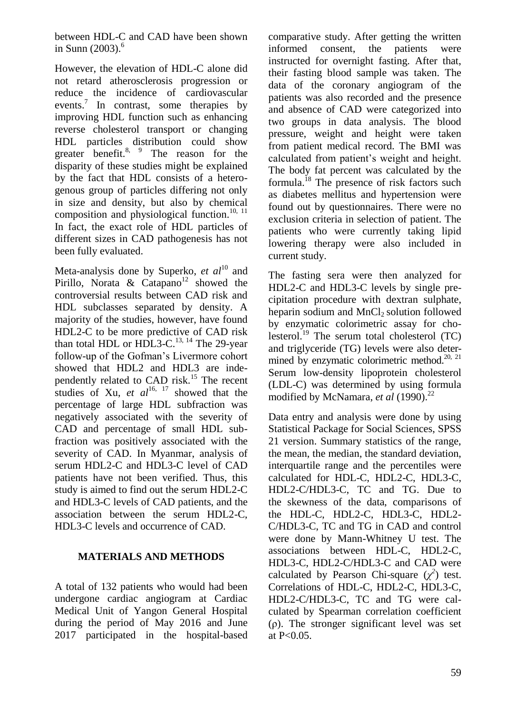between HDL-C and CAD have been shown in Sunn  $(2003)$ .<sup>6</sup>

However, the elevation of HDL-C alone did not retard atherosclerosis progression or reduce the incidence of cardiovascular events.<sup>7</sup> In contrast, some therapies by improving HDL function such as enhancing reverse cholesterol transport or changing HDL particles distribution could show greater benefit.<sup>8, 9</sup> The reason for the disparity of these studies might be explained by the fact that HDL consists of a heterogenous group of particles differing not only in size and density, but also by chemical composition and physiological function.<sup>10, 11</sup> In fact, the exact role of HDL particles of different sizes in CAD pathogenesis has not been fully evaluated.

Meta-analysis done by Superko, *et al*<sup>10</sup> and Pirillo, Norata & Catapano<sup>12</sup> showed the controversial results between CAD risk and HDL subclasses separated by density. A majority of the studies, however, have found HDL2-C to be more predictive of CAD risk than total HDL or HDL3-C.<sup>13, 14</sup> The 29-year follow-up of the Gofman's Livermore cohort showed that HDL2 and HDL3 are independently related to CAD risk.<sup>15</sup> The recent studies of Xu,  $et \text{ } al^{16, 17}$  showed that the percentage of large HDL subfraction was negatively associated with the severity of CAD and percentage of small HDL subfraction was positively associated with the severity of CAD. In Myanmar, analysis of serum HDL2-C and HDL3-C level of CAD patients have not been verified. Thus, this study is aimed to find out the serum HDL2-C and HDL3-C levels of CAD patients, and the association between the serum HDL2-C, HDL3-C levels and occurrence of CAD.

### **MATERIALS AND METHODS**

A total of 132 patients who would had been undergone cardiac angiogram at Cardiac Medical Unit of Yangon General Hospital during the period of May 2016 and June 2017 participated in the hospital-based comparative study. After getting the written informed consent, the patients were instructed for overnight fasting. After that, their fasting blood sample was taken. The data of the coronary angiogram of the patients was also recorded and the presence and absence of CAD were categorized into two groups in data analysis. The blood pressure, weight and height were taken from patient medical record. The BMI was calculated from patient's weight and height. The body fat percent was calculated by the formula.<sup>18</sup> The presence of risk factors such as diabetes mellitus and hypertension were found out by questionnaires. There were no exclusion criteria in selection of patient. The patients who were currently taking lipid lowering therapy were also included in current study.

The fasting sera were then analyzed for HDL2-C and HDL3-C levels by single precipitation procedure with dextran sulphate, heparin sodium and  $MnCl<sub>2</sub>$  solution followed by enzymatic colorimetric assay for cholesterol.<sup>19</sup> The serum total cholesterol  $(TC)$ and triglyceride (TG) levels were also determined by enzymatic colorimetric method.<sup>20, 21</sup> Serum low-density lipoprotein cholesterol (LDL-C) was determined by using formula modified by McNamara, *et al* (1990).<sup>22</sup>

Data entry and analysis were done by using Statistical Package for Social Sciences, SPSS 21 version. Summary statistics of the range, the mean, the median, the standard deviation, interquartile range and the percentiles were calculated for HDL-C, HDL2-C, HDL3-C, HDL2-C/HDL3-C, TC and TG. Due to the skewness of the data, comparisons of the HDL-C, HDL2-C, HDL3-C, HDL2- C/HDL3-C, TC and TG in CAD and control were done by Mann-Whitney U test. The associations between HDL-C, HDL2-C, HDL3-C, HDL2-C/HDL3-C and CAD were calculated by Pearson Chi-square  $(\chi^2)$  test. Correlations of HDL-C, HDL2-C, HDL3-C, HDL2-C/HDL3-C, TC and TG were calculated by Spearman correlation coefficient (ρ). The stronger significant level was set at P<0.05.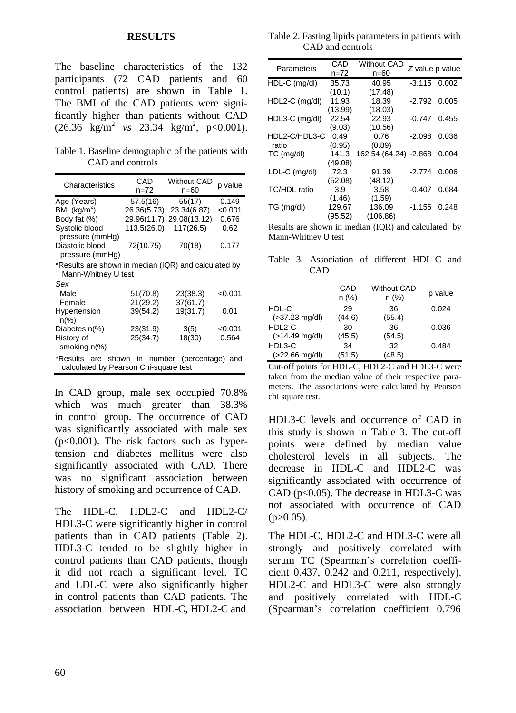#### **RESULTS**

The baseline characteristics of the 132 participants (72 CAD patients and 60 control patients) are shown in Table 1. The BMI of the CAD patients were significantly higher than patients without CAD  $(26.36 \text{ kg/m}^2 \text{ vs } 23.34 \text{ kg/m}^2, \text{ p} < 0.001).$ 

Table 1. Baseline demographic of the patients with CAD and controls

| Characteristics                                                                        | CAD<br>n=72 | <b>Without CAD</b><br>$n=60$ | p value |  |  |  |
|----------------------------------------------------------------------------------------|-------------|------------------------------|---------|--|--|--|
| Age (Years)                                                                            | 57.5(16)    | 55(17)                       | 0.149   |  |  |  |
| BMI ( $kg/m2$ )                                                                        | 26.36(5.73) | 23.34(6.87)                  | < 0.001 |  |  |  |
| Body fat (%)                                                                           | 29.96(11.7) | 29.08(13.12)                 | 0.676   |  |  |  |
| Systolic blood<br>pressure (mmHg)                                                      | 113.5(26.0) | 117(26.5)                    | 0.62    |  |  |  |
| Diastolic blood<br>pressure (mmHg)                                                     | 72(10.75)   | 70(18)                       | 0.177   |  |  |  |
| *Results are shown in median (IQR) and calculated by<br>Mann-Whitney U test            |             |                              |         |  |  |  |
| Sex                                                                                    |             |                              |         |  |  |  |
| Male                                                                                   | 51(70.8)    | 23(38.3)                     | < 0.001 |  |  |  |
| Female                                                                                 | 21(29.2)    | 37(61.7)                     |         |  |  |  |
| Hypertension<br>$n\frac{9}{6}$                                                         | 39(54.2)    | 19(31.7)                     | 0.01    |  |  |  |
| Diabetes n(%)                                                                          | 23(31.9)    | 3(5)                         | < 0.001 |  |  |  |
| History of<br>smoking n(%)                                                             | 25(34.7)    | 18(30)                       | 0.564   |  |  |  |
| *Results are shown in number (percentage) and<br>calculated by Pearson Chi-square test |             |                              |         |  |  |  |

In CAD group, male sex occupied 70.8% which was much greater than 38.3% in control group. The occurrence of CAD was significantly associated with male sex  $(p<0.001)$ . The risk factors such as hypertension and diabetes mellitus were also significantly associated with CAD. There was no significant association between history of smoking and occurrence of CAD.

The HDL-C, HDL2-C and HDL2-C/ HDL3-C were significantly higher in control patients than in CAD patients (Table 2). HDL3-C tended to be slightly higher in control patients than CAD patients, though it did not reach a significant level. TC and LDL-C were also significantly higher in control patients than CAD patients. The association between HDL-C, HDL2-C and

Table 2. Fasting lipids parameters in patients with CAD and controls

| Parameters     | CAD     | <b>Without CAD</b>    |                 |       |
|----------------|---------|-----------------------|-----------------|-------|
|                | n=72    | n=60                  | Z value p value |       |
| HDL-C (mg/dl)  | 35.73   | 40.95                 | $-3.115$ 0.002  |       |
|                | (10.1)  | (17.48)               |                 |       |
| HDL2-C (mg/dl) | 11.93   | 18.39                 | $-2.792$ 0.005  |       |
|                | (13.99) | (18.03)               |                 |       |
| HDL3-C (mg/dl) | 22.54   | 22.93                 | -0.747          | 0.455 |
|                | (9.03)  | (10.56)               |                 |       |
| HDL2-C/HDL3-C  | 0.49    | 0.76                  | $-2.098$        | 0.036 |
| ratio          | (0.95)  | (0.89)                |                 |       |
| TC (mg/dl)     | 141.3   | 162.54 (64.24) -2.868 |                 | 0.004 |
|                | (49.08) |                       |                 |       |
| LDL-C (mg/dl)  | 72.3    | 91.39                 | $-2.774$        | 0.006 |
|                | (52.08) | (48.12)               |                 |       |
| TC/HDL ratio   | 3.9     | 3.58                  | $-0.407$        | 0.684 |
|                | (1.46)  | (1.59)                |                 |       |
| TG (mg/dl)     | 129.67  | 136.09                | -1.156          | 0.248 |
|                | (95.52) | (106.86)              |                 |       |

Results are shown in median (IQR) and calculated by Mann-Whitney U test

Table 3. Association of different HDL-C and CAD

|                           | CAD<br>n (%) | <b>Without CAD</b><br>n (%) | p value |
|---------------------------|--------------|-----------------------------|---------|
| HDL-C                     | 29           | 36                          | 0.024   |
| $( >37.23 \text{ mg/dl})$ | (44.6)       | (55.4)                      |         |
| HDL2-C                    | 30           | 36                          | 0.036   |
| $($ > 14.49 mg/dl)        | (45.5)       | (54.5)                      |         |
| HDL3-C                    | 34           | 32                          | 0.484   |
| $( >22.66 \text{ mg/dl})$ | (51.5)       | (48.5)                      |         |

Cut-off points for HDL-C, HDL2-C and HDL3-C were taken from the median value of their respective parameters. The associations were calculated by Pearson chi square test.

HDL3-C levels and occurrence of CAD in this study is shown in Table 3. The cut-off points were defined by median value cholesterol levels in all subjects. The decrease in HDL-C and HDL2-C was significantly associated with occurrence of CAD ( $p<0.05$ ). The decrease in HDL3-C was not associated with occurrence of CAD  $(p>0.05)$ .

The HDL-C, HDL2-C and HDL3-C were all strongly and positively correlated with serum TC (Spearman's correlation coefficient 0.437, 0.242 and 0.211, respectively). HDL2-C and HDL3-C were also strongly and positively correlated with HDL-C (Spearman's correlation coefficient 0.796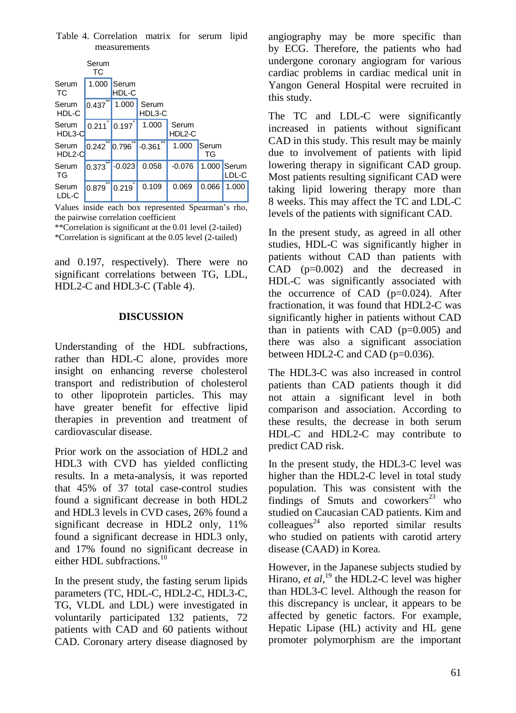Table 4. Correlation matrix for serum lipid measurements

|                    | Serum<br>ТC    |                |                       |                 |             |                |
|--------------------|----------------|----------------|-----------------------|-----------------|-------------|----------------|
| Serum<br><b>TC</b> | 1.000          | Serum<br>HDL-C |                       |                 |             |                |
| Serum<br>HDL-C     | 0.437          | 1.000          | Serum<br>HDL3-C       |                 |             |                |
| Serum<br>HDL3-C    | 0.211          | 0.197          | 1.000                 | Serum<br>HDL2-C |             |                |
| Serum<br>HDL2-C    | $0.242$ 0.796  |                | <b>xx</b><br>$-0.361$ | 1.000           | Serum<br>TG |                |
| Serum<br>TG        | **<br>0.373    | $-0.023$       | 0.058                 | $-0.076$        | 1.000       | Serum<br>LDL-C |
| Serum<br>LDL-C     | $***$<br>0.879 | 0.219          | 0.109                 | 0.069           | 0.066       | 1.000          |

Values inside each box represented Spearman's rho, the pairwise correlation coefficient \*\*Correlation is significant at the 0.01 level (2-tailed)

\*Correlation is significant at the 0.05 level (2-tailed)

and 0.197, respectively). There were no significant correlations between TG, LDL, HDL2-C and HDL3-C (Table 4).

## **DISCUSSION**

Understanding of the HDL subfractions, rather than HDL-C alone, provides more insight on enhancing reverse cholesterol transport and redistribution of cholesterol to other lipoprotein particles. This may have greater benefit for effective lipid therapies in prevention and treatment of cardiovascular disease.

Prior work on the association of HDL2 and HDL3 with CVD has yielded conflicting results. In a meta-analysis, it was reported that 45% of 37 total case-control studies found a significant decrease in both HDL2 and HDL3 levels in CVD cases, 26% found a significant decrease in HDL2 only,  $11\%$ found a significant decrease in HDL3 only, and 17% found no significant decrease in either HDL subfractions.<sup>10</sup>

In the present study, the fasting serum lipids parameters (TC, HDL-C, HDL2-C, HDL3-C, TG, VLDL and LDL) were investigated in voluntarily participated 132 patients, 72 patients with CAD and 60 patients without CAD. Coronary artery disease diagnosed by angiography may be more specific than by ECG. Therefore, the patients who had undergone coronary angiogram for various cardiac problems in cardiac medical unit in Yangon General Hospital were recruited in this study.

The TC and LDL-C were significantly increased in patients without significant CAD in this study. This result may be mainly due to involvement of patients with lipid lowering therapy in significant CAD group. Most patients resulting significant CAD were taking lipid lowering therapy more than 8 weeks. This may affect the TC and LDL-C levels of the patients with significant CAD.

In the present study, as agreed in all other studies, HDL-C was significantly higher in patients without CAD than patients with CAD (p=0.002) and the decreased in HDL-C was significantly associated with the occurrence of CAD  $(p=0.024)$ . After fractionation, it was found that HDL2-C was significantly higher in patients without CAD than in patients with CAD  $(p=0.005)$  and there was also a significant association between HDL2-C and CAD (p=0.036).

The HDL3-C was also increased in control patients than CAD patients though it did not attain a significant level in both comparison and association. According to these results, the decrease in both serum HDL-C and HDL2-C may contribute to predict CAD risk.

In the present study, the HDL3-C level was higher than the HDL2-C level in total study population. This was consistent with the findings of Smuts and coworkers $^{23}$  who studied on Caucasian CAD patients. Kim and  $\text{colleagues}^{24}$  also reported similar results who studied on patients with carotid artery disease (CAAD) in Korea.

However, in the Japanese subjects studied by Hirano, et al,<sup>19</sup> the HDL2-C level was higher than HDL3-C level. Although the reason for this discrepancy is unclear, it appears to be affected by genetic factors. For example, Hepatic Lipase (HL) activity and HL gene promoter polymorphism are the important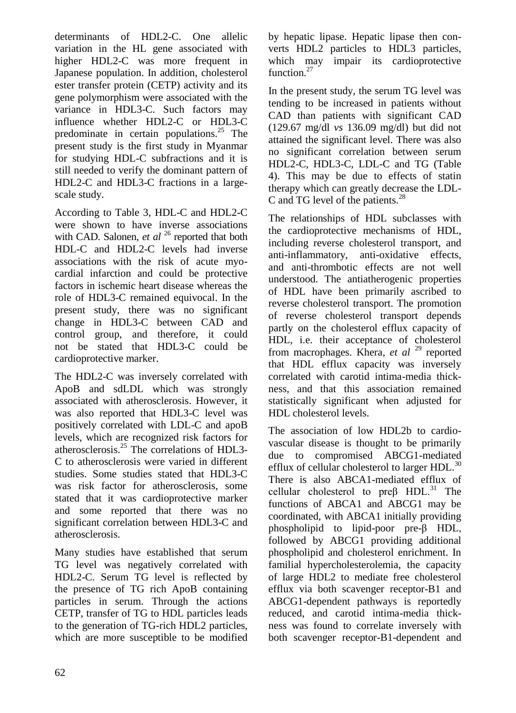determinants of HDL2-C. One allelic variation in the HL gene associated with higher HDL2-C was more frequent in Japanese population. In addition, cholesterol ester transfer protein (CETP) activity and its gene polymorphism were associated with the variance in HDL3-C. Such factors may influence whether HDL2-C or HDL3-C predominate in certain populations. $^{25}$  The present study is the first study in Myanmar for studying HDL-C subfractions and it is still needed to verify the dominant pattern of HDL2-C and HDL3-C fractions in a largescale study.

According to Table 3, HDL-C and HDL2-C were shown to have inverse associations with CAD. Salonen, *et al* <sup>26</sup> reported that both HDL-C and HDL2-C levels had inverse associations with the risk of acute myocardial infarction and could be protective factors in ischemic heart disease whereas the role of HDL3-C remained equivocal. In the present study, there was no significant change in HDL3-C between CAD and control group, and therefore, it could not be stated that HDL3-C could be cardioprotective marker.

The HDL2-C was inversely correlated with ApoB and sdLDL which was strongly associated with atherosclerosis. However, it was also reported that HDL3-C level was positively correlated with LDL-C and apoB levels, which are recognized risk factors for atherosclerosis. $^{25}$  The correlations of HDL3-C to atherosclerosis were varied in different studies. Some studies stated that HDL3-C was risk factor for atherosclerosis, some stated that it was cardioprotective marker and some reported that there was no significant correlation between HDL3-C and atherosclerosis.

Many studies have established that serum TG level was negatively correlated with HDL2-C. Serum TG level is reflected by the presence of TG rich ApoB containing particles in serum. Through the actions CETP, transfer of TG to HDL particles leads to the generation of TG-rich HDL2 particles, which are more susceptible to be modified

by hepatic lipase. Hepatic lipase then converts HDL2 particles to HDL3 particles, which may impair its cardioprotective function.<sup>27</sup>

In the present study, the serum TG level was tending to be increased in patients without CAD than patients with significant CAD (129.67 mg/dl *vs* 136.09 mg/dl) but did not attained the significant level. There was also no significant correlation between serum HDL2-C, HDL3-C, LDL-C and TG (Table 4). This may be due to effects of statin therapy which can greatly decrease the LDL-C and TG level of the patients.<sup>28</sup>

The relationships of HDL subclasses with the cardioprotective mechanisms of HDL, including reverse cholesterol transport, and anti-inflammatory, anti-oxidative effects, and anti-thrombotic effects are not well understood. The antiatherogenic properties of HDL have been primarily ascribed to reverse cholesterol transport. The promotion of reverse cholesterol transport depends partly on the cholesterol efflux capacity of HDL, i.e. their acceptance of cholesterol from macrophages. Khera, *et al* <sup>29</sup> reported that HDL efflux capacity was inversely correlated with carotid intima-media thickness, and that this association remained statistically significant when adjusted for HDL cholesterol levels.

The association of low HDL2b to cardiovascular disease is thought to be primarily due to compromised ABCG1-mediated efflux of cellular cholesterol to larger HDL.<sup>30</sup> There is also ABCA1-mediated efflux of cellular cholesterol to  $pre\beta$  HDL.<sup>31</sup> The functions of ABCA1 and ABCG1 may be coordinated, with ABCA1 initially providing phospholipid to lipid-poor pre-β HDL, followed by ABCG1 providing additional phospholipid and cholesterol enrichment. In familial hypercholesterolemia, the capacity of large HDL2 to mediate free cholesterol efflux via both scavenger receptor-B1 and ABCG1-dependent pathways is reportedly reduced, and carotid intima-media thickness was found to correlate inversely with both scavenger receptor-B1-dependent and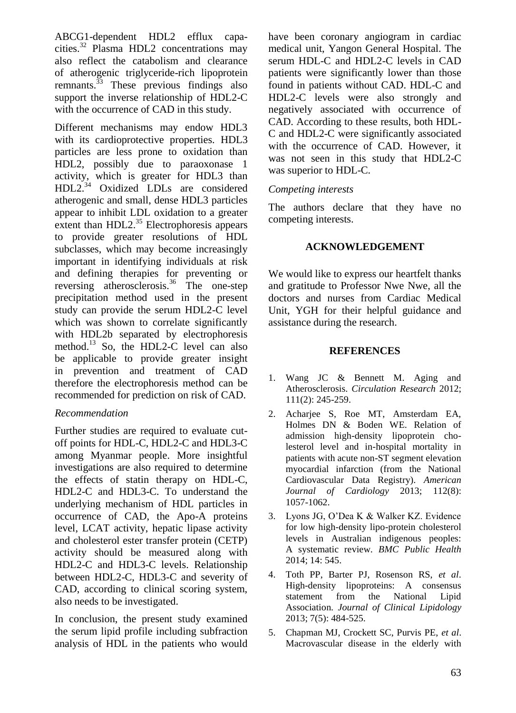ABCG1-dependent HDL2 efflux capacities.<sup>32</sup> Plasma HDL2 concentrations may also reflect the catabolism and clearance of atherogenic triglyceride-rich lipoprotein remnants. $\frac{33}{12}$  These previous findings also support the inverse relationship of HDL2-C with the occurrence of CAD in this study.

Different mechanisms may endow HDL3 with its cardioprotective properties. HDL3 particles are less prone to oxidation than HDL2, possibly due to paraoxonase 1 activity, which is greater for HDL3 than HDL2.<sup>34</sup> Oxidized LDLs are considered atherogenic and small, dense HDL3 particles appear to inhibit LDL oxidation to a greater extent than  $HDL2<sup>35</sup>$  Electrophoresis appears to provide greater resolutions of HDL subclasses, which may become increasingly important in identifying individuals at risk and defining therapies for preventing or reversing atherosclerosis.<sup>36</sup> The one-step precipitation method used in the present study can provide the serum HDL2-C level which was shown to correlate significantly with HDL2b separated by electrophoresis method.<sup>13</sup> So, the HDL2-C level can also be applicable to provide greater insight in prevention and treatment of CAD therefore the electrophoresis method can be recommended for prediction on risk of CAD.

# *Recommendation*

Further studies are required to evaluate cutoff points for HDL-C, HDL2-C and HDL3-C among Myanmar people. More insightful investigations are also required to determine the effects of statin therapy on HDL-C, HDL2-C and HDL3-C. To understand the underlying mechanism of HDL particles in occurrence of CAD, the Apo-A proteins level, LCAT activity, hepatic lipase activity and cholesterol ester transfer protein (CETP) activity should be measured along with HDL2-C and HDL3-C levels. Relationship between HDL2-C, HDL3-C and severity of CAD, according to clinical scoring system, also needs to be investigated.

In conclusion, the present study examined the serum lipid profile including subfraction analysis of HDL in the patients who would have been coronary angiogram in cardiac medical unit, Yangon General Hospital. The serum HDL-C and HDL2-C levels in CAD patients were significantly lower than those found in patients without CAD. HDL-C and HDL2-C levels were also strongly and negatively associated with occurrence of CAD. According to these results, both HDL-C and HDL2-C were significantly associated with the occurrence of CAD. However, it was not seen in this study that HDL2-C was superior to HDL-C.

# *Competing interests*

The authors declare that they have no competing interests.

## **ACKNOWLEDGEMENT**

We would like to express our heartfelt thanks and gratitude to Professor Nwe Nwe, all the doctors and nurses from Cardiac Medical Unit, YGH for their helpful guidance and assistance during the research.

### **REFERENCES**

- 1. Wang JC & Bennett M. Aging and Atherosclerosis. *Circulation Research* 2012; 111(2): 245-259.
- 2. Acharjee S, Roe MT, Amsterdam EA, Holmes DN & Boden WE. Relation of admission high-density lipoprotein cholesterol level and in-hospital mortality in patients with acute non-ST segment elevation myocardial infarction (from the National Cardiovascular Data Registry). *American Journal of Cardiology* 2013; 112(8): 1057-1062.
- 3. Lyons JG, O'Dea K & Walker KZ. Evidence for low high-density lipo-protein cholesterol levels in Australian indigenous peoples: A systematic review. *BMC Public Health* 2014; 14: 545.
- 4. Toth PP, Barter PJ, Rosenson RS, *et al*. High-density lipoproteins: A consensus statement from the National Lipid Association. *Journal of Clinical Lipidology* 2013; 7(5): 484-525.
- 5. Chapman MJ, Crockett SC, Purvis PE, *et al*. Macrovascular disease in the elderly with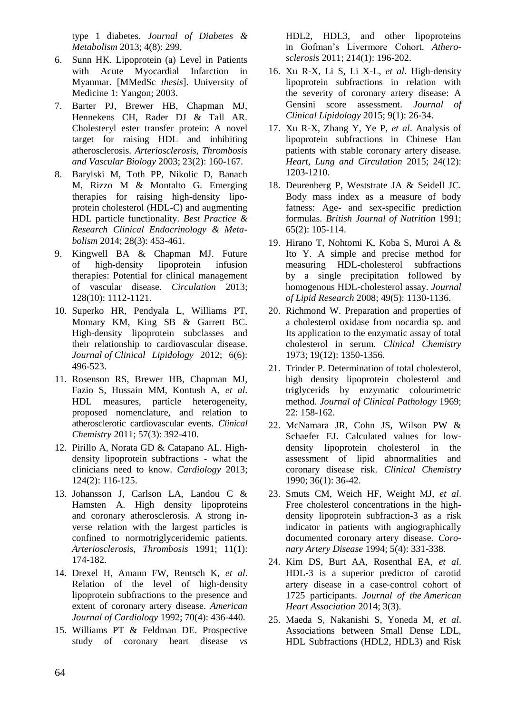type 1 diabetes. *Journal of Diabetes & Metabolism* 2013; 4(8): 299.

- 6. Sunn HK. Lipoprotein (a) Level in Patients with Acute Myocardial Infarction in Myanmar. [MMedSc *thesis*]. University of Medicine 1: Yangon; 2003.
- 7. Barter PJ, Brewer HB, Chapman MJ, Hennekens CH, Rader DJ & Tall AR. Cholesteryl ester transfer protein: A novel target for raising HDL and inhibiting atherosclerosis. *Arteriosclerosis, Thrombosis and Vascular Biology* 2003; 23(2): 160-167.
- 8. Barylski M, Toth PP, Nikolic D, Banach M, Rizzo M & Montalto G. Emerging therapies for raising high-density lipoprotein cholesterol (HDL-C) and augmenting HDL particle functionality. *Best Practice & Research Clinical Endocrinology & Metabolism* 2014; 28(3): 453-461.
- 9. Kingwell BA & Chapman MJ. Future of high-density lipoprotein infusion therapies: Potential for clinical management of vascular disease. *Circulation* 2013; 128(10): 1112-1121.
- 10. Superko HR, Pendyala L, Williams PT, Momary KM, King SB & Garrett BC. High-density lipoprotein subclasses and their relationship to cardiovascular disease. *Journal of Clinical Lipidology* 2012; 6(6): 496-523.
- 11. Rosenson RS, Brewer HB, Chapman MJ, Fazio S, Hussain MM, Kontush A, *et al*. HDL measures, particle heterogeneity, proposed nomenclature, and relation to atherosclerotic cardiovascular events. *Clinical Chemistry* 2011; 57(3): 392-410.
- 12. Pirillo A, Norata GD & Catapano AL. Highdensity lipoprotein subfractions - what the clinicians need to know. *Cardiology* 2013; 124(2): 116-125.
- 13. Johansson J, Carlson LA, Landou C & Hamsten A. High density lipoproteins and coronary atherosclerosis. A strong inverse relation with the largest particles is confined to normotriglyceridemic patients. *Arteriosclerosis, Thrombosis* 1991; 11(1): 174-182.
- 14. Drexel H, Amann FW, Rentsch K, *et al*. Relation of the level of high-density lipoprotein subfractions to the presence and extent of coronary artery disease. *American Journal of Cardiology* 1992; 70(4): 436-440.
- 15. Williams PT & Feldman DE. Prospective study of coronary heart disease *vs*

HDL2, HDL3, and other lipoproteins in Gofman's Livermore Cohort. *Atherosclerosis* 2011; 214(1): 196-202.

- 16. Xu R-X, Li S, Li X-L, *et al*. High-density lipoprotein subfractions in relation with the severity of coronary artery disease: A Gensini score assessment. *Journal of Clinical Lipidology* 2015; 9(1): 26-34.
- 17. Xu R-X, Zhang Y, Ye P, *et al*. Analysis of lipoprotein subfractions in Chinese Han patients with stable coronary artery disease. *Heart, Lung and Circulation* 2015; 24(12): 1203-1210.
- 18. Deurenberg P, Weststrate JA & Seidell JC. Body mass index as a measure of body fatness: Age- and sex-specific prediction formulas. *British Journal of Nutrition* 1991; 65(2): 105-114.
- 19. Hirano T, Nohtomi K, Koba S, Muroi A & Ito Y. A simple and precise method for measuring HDL-cholesterol subfractions by a single precipitation followed by homogenous HDL-cholesterol assay. *Journal of Lipid Research* 2008; 49(5): 1130-1136.
- 20. Richmond W. Preparation and properties of a cholesterol oxidase from nocardia sp. and Its application to the enzymatic assay of total cholesterol in serum. *Clinical Chemistry* 1973; 19(12): 1350-1356.
- 21. Trinder P. Determination of total cholesterol, high density lipoprotein cholesterol and triglycerids by enzymatic colourimetric method. *Journal of Clinical Pathology* 1969; 22: 158-162.
- 22. McNamara JR, Cohn JS, Wilson PW & Schaefer EJ. Calculated values for lowdensity lipoprotein cholesterol in the assessment of lipid abnormalities and coronary disease risk. *Clinical Chemistry* 1990; 36(1): 36-42.
- 23. Smuts CM, Weich HF, Weight MJ, *et al*. Free cholesterol concentrations in the highdensity lipoprotein subfraction-3 as a risk indicator in patients with angiographically documented coronary artery disease. *Coronary Artery Disease* 1994; 5(4): 331-338.
- 24. Kim DS, Burt AA, Rosenthal EA, *et al*. HDL‐3 is a superior predictor of carotid artery disease in a case‐control cohort of 1725 participants. *Journal of the American Heart Association* 2014; 3(3).
- 25. Maeda S, Nakanishi S, Yoneda M, *et al*. Associations between Small Dense LDL, HDL Subfractions (HDL2, HDL3) and Risk